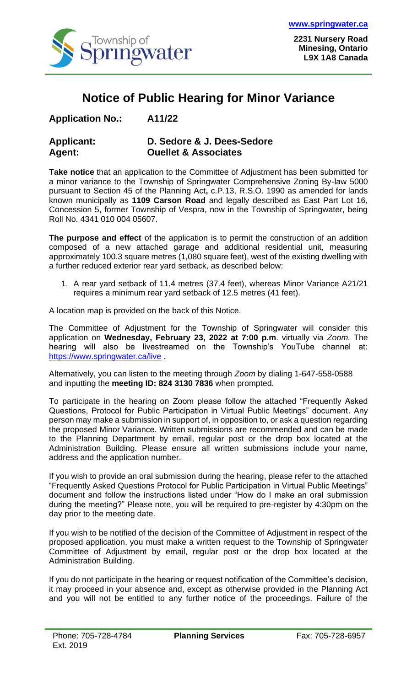

**2231 Nursery Road Minesing, Ontario L9X 1A8 Canada**

## **Notice of Public Hearing for Minor Variance**

| <b>Application No.:</b> |  | A11/22 |
|-------------------------|--|--------|
|-------------------------|--|--------|

| <b>Applicant:</b> | D. Sedore & J. Dees-Sedore      |
|-------------------|---------------------------------|
| <b>Agent:</b>     | <b>Ouellet &amp; Associates</b> |

**Take notice** that an application to the Committee of Adjustment has been submitted for a minor variance to the Township of Springwater Comprehensive Zoning By-law 5000 pursuant to Section 45 of the Planning Act**,** c.P.13, R.S.O. 1990 as amended for lands known municipally as **1109 Carson Road** and legally described as East Part Lot 16, Concession 5, former Township of Vespra, now in the Township of Springwater, being Roll No. 4341 010 004 05607.

**The purpose and effect** of the application is to permit the construction of an addition composed of a new attached garage and additional residential unit, measuring approximately 100.3 square metres (1,080 square feet), west of the existing dwelling with a further reduced exterior rear yard setback, as described below:

1. A rear yard setback of 11.4 metres (37.4 feet), whereas Minor Variance A21/21 requires a minimum rear yard setback of 12.5 metres (41 feet).

A location map is provided on the back of this Notice.

The Committee of Adjustment for the Township of Springwater will consider this application on **Wednesday, February 23, 2022 at 7:00 p.m**. virtually via *Zoom.* The hearing will also be livestreamed on the Township's YouTube channel at: <https://www.springwater.ca/live> .

Alternatively, you can listen to the meeting through *Zoom* by dialing 1-647-558-0588 and inputting the **meeting ID: 824 3130 7836** when prompted.

To participate in the hearing on Zoom please follow the attached "Frequently Asked Questions, Protocol for Public Participation in Virtual Public Meetings" document. Any person may make a submission in support of, in opposition to, or ask a question regarding the proposed Minor Variance. Written submissions are recommended and can be made to the Planning Department by email, regular post or the drop box located at the Administration Building. Please ensure all written submissions include your name, address and the application number.

If you wish to provide an oral submission during the hearing, please refer to the attached "Frequently Asked Questions Protocol for Public Participation in Virtual Public Meetings" document and follow the instructions listed under "How do I make an oral submission during the meeting?" Please note, you will be required to pre-register by 4:30pm on the day prior to the meeting date.

If you wish to be notified of the decision of the Committee of Adjustment in respect of the proposed application, you must make a written request to the Township of Springwater Committee of Adjustment by email, regular post or the drop box located at the Administration Building.

If you do not participate in the hearing or request notification of the Committee's decision, it may proceed in your absence and, except as otherwise provided in the Planning Act and you will not be entitled to any further notice of the proceedings. Failure of the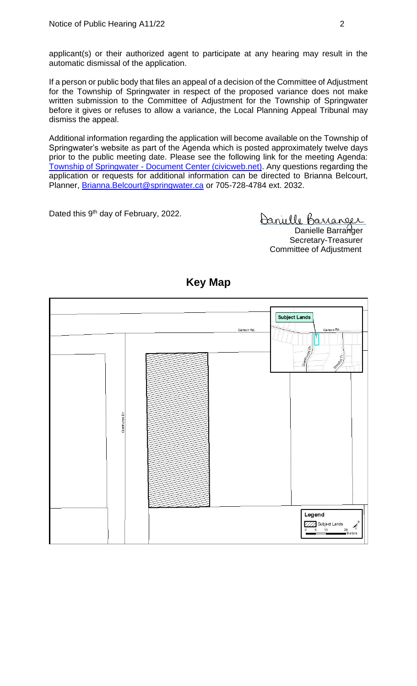applicant(s) or their authorized agent to participate at any hearing may result in the automatic dismissal of the application.

If a person or public body that files an appeal of a decision of the Committee of Adjustment for the Township of Springwater in respect of the proposed variance does not make written submission to the Committee of Adjustment for the Township of Springwater before it gives or refuses to allow a variance, the Local Planning Appeal Tribunal may dismiss the appeal.

Additional information regarding the application will become available on the Township of Springwater's website as part of the Agenda which is posted approximately twelve days prior to the public meeting date. Please see the following link for the meeting Agenda: Township of Springwater - [Document Center \(civicweb.net\).](https://springwater.civicweb.net/filepro/documents/164293) Any questions regarding the application or requests for additional information can be directed to Brianna Belcourt, Planner, [Brianna.Belcourt@springwater.ca](mailto:Brianna.Belcourt@springwater.ca) or 705-728-4784 ext. 2032.

Dated this 9<sup>th</sup> day of February, 2022.

Danielle Barranger Danielle Barranger Secretary-Treasurer Committee of Adjustment



## **Key Map**